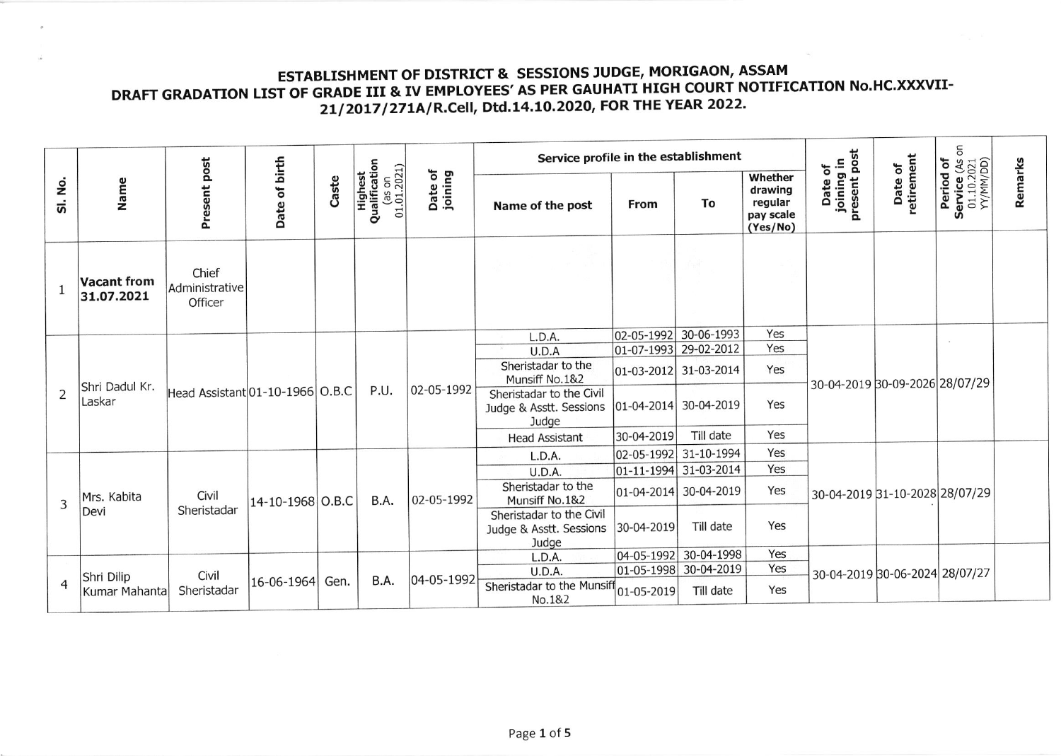## ESTABLISHMENT OF DISTRICT & SESSIONS JUDGE, MORIGAON, ASSAM<br>DRAFT GRADATION LIST OF GRADE III & IV EMPLOYEES' AS PER GAUHATI HIGH COURT NOTIFICATION No.HC.XXXVII-21/2017/271A/R.Cell, Dtd.14.10.2020, FOR THE YEAR 2022.

|                | Name                             | Present post                       | Date of birth                   | Caste | Highest<br>Qualification<br>$(350n)$<br>$(1.01.2021)$ | Date of<br>joining | Service profile in the establishment                         |                    |                       |                                                        |                                       |                                | 5                                                              |         |
|----------------|----------------------------------|------------------------------------|---------------------------------|-------|-------------------------------------------------------|--------------------|--------------------------------------------------------------|--------------------|-----------------------|--------------------------------------------------------|---------------------------------------|--------------------------------|----------------------------------------------------------------|---------|
| SI. No.        |                                  |                                    |                                 |       |                                                       |                    | Name of the post                                             | From               | To                    | Whether<br>drawing<br>regular<br>pay scale<br>(Yes/No) | Date of<br>joining in<br>present post | Date of<br>retirement          | <b>Period of<br/>Service (As c<br/>01.10.2021</b><br>YY/MM/DD) | Remarks |
| 1              | <b>Vacant from</b><br>31.07.2021 | Chief<br>Administrative<br>Officer |                                 |       |                                                       |                    |                                                              |                    |                       |                                                        |                                       |                                |                                                                |         |
|                |                                  |                                    |                                 |       |                                                       |                    | L.D.A.                                                       |                    | 02-05-1992 30-06-1993 | Yes                                                    |                                       | 30-04-2019 30-09-2026 28/07/29 |                                                                |         |
| $\overline{2}$ | Shri Dadul Kr.<br>Laskar         |                                    | Head Assistant 01-10-1966 O.B.C |       | P.U.                                                  | 02-05-1992         | U.D.A                                                        |                    | 01-07-1993 29-02-2012 | Yes                                                    |                                       |                                |                                                                |         |
|                |                                  |                                    |                                 |       |                                                       |                    | Sheristadar to the<br>Munsiff No.1&2                         |                    | 01-03-2012 31-03-2014 | Yes                                                    |                                       |                                |                                                                |         |
|                |                                  |                                    |                                 |       |                                                       |                    | Sheristadar to the Civil<br>Judge & Asstt. Sessions<br>Judge | $ 01 - 04 - 2014 $ | 30-04-2019            | Yes                                                    |                                       |                                |                                                                |         |
|                |                                  |                                    |                                 |       |                                                       |                    | <b>Head Assistant</b>                                        | 30-04-2019         | Till date             | Yes                                                    |                                       |                                |                                                                |         |
|                |                                  |                                    |                                 |       |                                                       |                    | L.D.A.                                                       | 02-05-1992         | 31-10-1994            | Yes                                                    |                                       | 30-04-2019 31-10-2028 28/07/29 |                                                                |         |
| 3              | Mrs. Kabita<br>Devi              |                                    |                                 |       |                                                       | 02-05-1992         | <b>U.D.A.</b>                                                |                    | 01-11-1994 31-03-2014 | Yes                                                    |                                       |                                |                                                                |         |
|                |                                  | Civil                              | 14-10-1968 O.B.C                |       | B.A.                                                  |                    | Sheristadar to the<br>Munsiff No.1&2                         |                    | 01-04-2014 30-04-2019 | Yes                                                    |                                       |                                |                                                                |         |
|                |                                  | Sheristadar                        |                                 |       |                                                       |                    | Sheristadar to the Civil<br>Judge & Asstt. Sessions<br>Judge | 30-04-2019         | Till date             | Yes                                                    |                                       |                                |                                                                |         |
|                |                                  |                                    |                                 |       |                                                       |                    | L.D.A.                                                       | $ 04 - 05 - 1992 $ | 30-04-1998            | Yes                                                    |                                       |                                |                                                                |         |
| $\overline{4}$ | Shri Dilip<br>Kumar Mahanta      | Civil                              | 16-06-1964                      | Gen.  | B.A.                                                  | 04-05-1992         | U.D.A.                                                       |                    | 01-05-1998 30-04-2019 | Yes                                                    | 30-04-2019 30-06-2024 28/07/27        |                                |                                                                |         |
|                |                                  | Sheristadar                        |                                 |       |                                                       |                    | Sheristadar to the Munsiff<br>No.1&2                         | 01-05-2019         | Till date             | Yes                                                    |                                       |                                |                                                                |         |